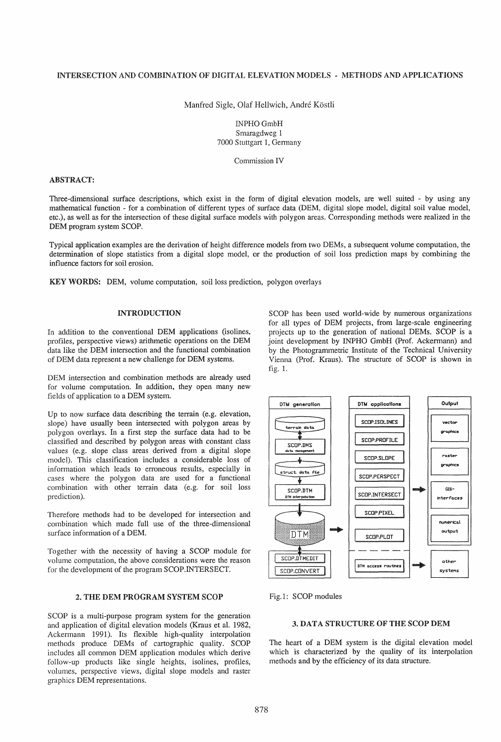## INTERSECTION AND COMBINATION OF DIGITAL ELEVATION MODELS - METHODS AND APPLICATIONS

Manfred Sigle, Olaf Hellwich, André Köstli

INPHOGmbH Smaragdweg 1 7000 Stuttgart 1, Gennany

Commission IV

## ABSTRACT:

Three-dimensional surface descriptions, which exist in the form of digital elevation models, are well suited - by using any mathematical function - for a combination of different types of surface data (DEM, digital slope model, digital soil value model, etc.), as well as for the intersection of these digital surface models with polygon areas. Corresponding methods were realized in the DEM program system SCOP.

Typical application examples are the derivation of height difference models from two DEMs, a subsequent volume computation, the determination of slope statistics from a digital slope model, or the production of soil loss prediction maps by combining the influence factors for soil erosion.

KEY WORDS: DEM, volume computation, soil loss prediction, polygon overlays

# INTRODUCTION

In addition to the conventional DEM applications (isolines, profiles, perspective views) arithmetic operations on the DEM data like the DEM intersection and the functional combination of DEM data represent a new challenge for DEM systems.

DEM intersection and combination methods are already used for volume computation. In addition, they open many new fields of application to a DEM system.

Up to now surface data describing the terrain (e.g. elevation, slope) have usually been intersected with polygon areas by polygon overlays. In a first step the surface data had to be classified and described by polygon areas with constant class values (e.g. slope class areas derived from a digital slope model). This classification includes a considerable loss of information which leads to erroneous results, especially in cases where the polygon data are used for a functional combination with other terrain data (e.g. for soil loss prediction).

Therefore methods had to be developed for intersection and combination which made full use of the three-dimensional surface information of a DEM.

Together with the necessity of having a SCOP module for volume computation, the above considerations were the reason for the development of the program SCOP.INTERSECT.

# 2. THE DEM PROGRAM SYSTEM SCOP

SCOP is a multi-purpose program system for the generation and application of digital elevation models (Kraus et al. 1982, Ackermann 1991). Its flexible high-quality interpolation methods produce DEMs of cartographic quality. SCOP includes all common DEM application modules which derive follow-up products like single heights, isolines, profiles, volumes, perspective views, digital slope models and raster graphics DEM representations.

SCOP has been used world-wide by numerous organizations for all types of DEM projects, from large-scale engineering projects up to the generation of national DEMs. SCOP is a joint development by INPHO GmbH (Prof. Ackermann) and by the Photogrammetric Institute of the Technical University Vienna (Prof. Kraus). The structure of SCOP is shown in fig. 1.



Fig.1: SCOP modules

# 3. DATA STRUCTURE OF THE SCOP DEM

The heart of a DEM system is the digital elevation model which is characterized by the quality of its interpolation methods and by the efficiency of its data structure.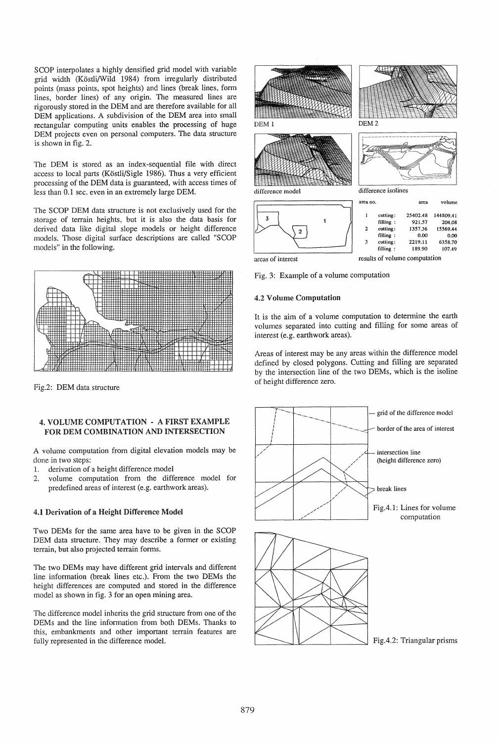SCOP interpolates a highly densified grid model with variable grid width (Kostli/Wild 1984) from irregularly distributed points (mass points, spot heights) and lines (break lines, form lines, border lines) of any origin. The measured lines are rigorously stored in the DEM and are therefore available for all DEM applications. A subdivision of the DEM area into small rectangular computing units enables the processing of huge DEM projects even on personal computers. The data structure is shown in fig. 2.

The DEM is stored as an index-sequential file with direct access to local parts (Köstli/Sigle 1986). Thus a very efficient processing of the DEM data is guaranteed, with access times of less than 0.1 sec. even in an extremely large DEM.

The SCOP DEM data structure is not exclusively used for the storage of terrain heights, but it is also the data basis for derived data like digital slope models or height difference models. Those digital surface descriptions are called "SCOP models" in the following.



Fig.2: DEM data structure

## 4. VOLUME COMPUTATION - A FIRST EXAMPLE FOR DEM COMBINATION AND INTERSECTION

A volume computation from digital elevation models may be done in two steps:

- 1. derivation of a height difference model
- 2. volume computation from the difference model for predefined areas of interest (e.g. earthwork areas).

## 4.1 Derivation of a Height Difference Model

Two DEMs for the same area have to be given in the SCOP DEM data structure. They may describe a former or existing terrain, but also projected terrain forms.

The two DEMs may have different grid intervals and different line information (break lines etc.). From the two DEMs the height differences are computed and stored in the difference model as shown in fig. 3 for an open mining area.

The difference model inherits the grid structure from one of the DEMs and the line information from both DEMs. Thanks to this, embankments and other important terrain features are fully represented in the difference modeL



areas of interest results of volume computation

Fig. 3: Example of a volume computation

### 4.2 Volume Computation

It is the aim of a volume computation to determine the earth volumes separated into cutting and filling for some areas of interest (e.g. earthwork areas).

Areas of interest may be any areas within the difference model defined by closed polygons. Cutting and filling are separated by the intersection line of the two DEMs, which is the isoline of height difference zero.

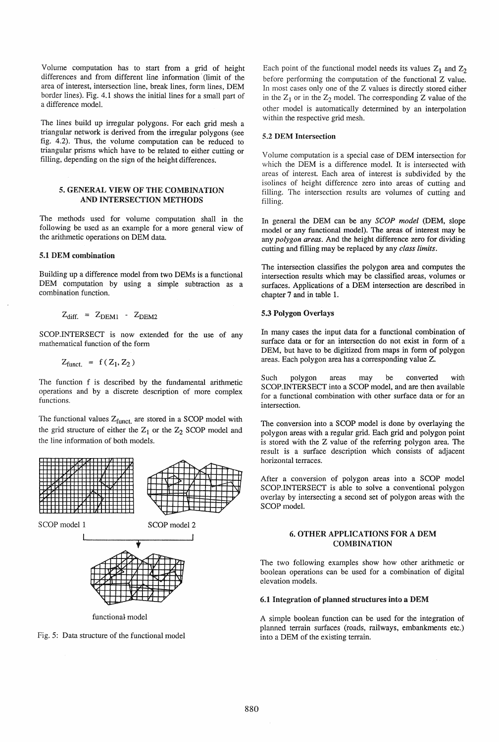Volume computation has to start from a grid of height differences and from different line information' (limit of the area of interest, intersection line, break lines, form lines, DEM border lines). Fig. 4.1 shows the initial lines for a small part of a difference model.

The lines build up irregular polygons. For each grid mesh a triangular network is derived from the irregular polygons (see fig. 4.2). Thus, the volume computation can be reduced to triangular prisms which have to be related to either cutting or filling, depending on the sign of the height differences.

### 5. GENERAL VIEW OF THE COMBINATION AND INTERSECTION METHODS

The methods used for volume computation shall in the following be used as an example for a more general view of the arithmetic operations on DEM data.

## 5.1 DEM combination

Building up a difference model from two DEMs is a functional DEM computation by using a simple subtraction as a combination function.

$$
Z_{diff.} = Z_{DEM1} - Z_{DEM2}
$$

SCOP.INTERSECT is now extended for the use of any mathematical function of the form

$$
Z_{\text{funct.}} = f(Z_1, Z_2)
$$

The function f is described by the fundamental arithmetic operations and by a discrete description of more complex functions.

The functional values  $Z_{\text{funct.}}$  are stored in a SCOP model with the grid structure of either the  $Z_1$  or the  $Z_2$  SCOP model and the line information of both models.



Fig. 5: Data structure of the functional model

Each point of the functional model needs its values  $Z_1$  and  $Z_2$ before performing the computation of the functional Z value. In most cases only one of the Z values is directly stored either in the  $Z_1$  or in the  $Z_2$  model. The corresponding Z value of the other model is automatically determined by an interpolation within the respective grid mesh.

#### 5.2 DEM Intersection

Volume computation is a special case of DEM intersection for which the DEM is a difference model. It is intersected with areas of interest. Each area of interest is subdivided by the isolines of height difference zero into areas of cutting and filling. The intersection results are volumes of cutting and filling.

In general the DEM can be any *SCOP model* (DEM, slope model or any functional model). The areas of interest may be any *polygon areas.* And the height difference zero for dividing cutting and filling may be replaced by any *class limits.* 

The intersection classifies the polygon area and computes the intersection results which may be classified areas, volumes or surfaces. Applications of a DEM intersection are described in chapter 7 and in table 1.

#### 5.3 Polygon Overlays

In many cases the input data for a functional combination of surface data or for an intersection do not exist in form of a DEM, but have to be digitized from maps in form of polygon areas. Each polygon area has a corresponding value Z.

Such polygon areas may be converted with SCOP.INTERSECT into a SCOP model, and are then available for a functional combination with other surface data or for an intersection.

The conversion into a SCOP model is done by overlaying the polygon areas with a regular grid. Each grid and polygon point is stored with the Z value of the referring polygon area. The result is a surface description which consists of adjacent horizontal terraces.

After a conversion of polygon areas into a SCOP model SCOP.INTERSECT is able to solve a conventional polygon overlay by intersecting a second set of polygon areas with the SCOP modeL

# 6. OTHER APPLICATIONS FOR A DEM COMBINATION

The two following examples show how other arithmetic or boolean operations can be used for a combination of digital elevation models.

#### 6.1 Integration of planned structures into a DEM

A simple boolean function can be used for the integration of planned terrain surfaces (roads, railways, embankments etc.) into a DEM of the existing terrain.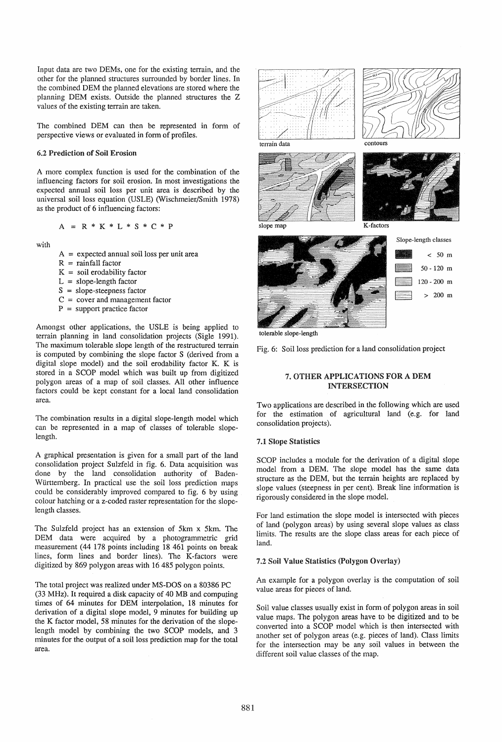Input data are two DEMs, one for the existing terrain, and the other for the planned structures surrounded by border lines. In the combined DEM the planned elevations are stored where the planning DEM exists. Outside the planned structures the Z values of the existing terrain are taken.

The combined DEM can then be represented in form of perspective views or evaluated in form of profiles.

## 6.2 Prediction of Soil Erosion

A more complex function is used for the combination of the influencing factors for soil erosion. In most investigations the expected annual soil loss per unit area is described by the universal soil loss equation (USLE) (Wischmeier/Smith 1978) as the product of 6 influencing factors:

$$
A = R * K * L * S * C * P
$$

with

A = expected annual soil loss per unit area

- $R =$ rainfall factor
- $K =$  soil erodability factor
- $L = slope-length factor$
- $S = slope$ -steepness factor
- $C = cover$  and management factor
- $P =$  support practice factor

Amongst other applications, the USLE is being applied to terrain planning in land consolidation projects (Sigle 1991). The maximum tolerable slope length of the restructured terrain is computed by combining the slope factor S (derived from a digital slope model) and the soil erodability factor K. K is stored in a SCOP model which was built up from digitized polygon areas of a map of soil classes. All other influence factors could be kept constant for a local land consolidation area.

The combination results in a digital slope-length model which can be represented in a map of classes of tolerable slopelength.

A graphical presentation is given for a small part of the land consolidation project Sulzfeld in fig. 6. Data acquisition was done by the land consolidation authority of Baden-Wlirttemberg. In practical use the soil loss prediction maps could be considerably improved compared to fig. 6 by using colour hatching or a z-coded raster representation for the slopelength classes.

The Sulzfeld project has an extension of 5km x 5km. The DEM data were acquired by a photogrammetric grid measurement (44 178 points including 18461 points on break lines, form lines and border lines). The K-factors were digitized by 869 polygon areas with 16485 polygon points.

The total project was realized under MS-DOS on a 80386 PC (33 MHz). It required a disk capacity of 40 MB and computing times of 64 minutes for DEM interpolation, 18 minutes for derivation of a digital slope model, 9 minutes for building up the K factor model, 58 minutes for the derivation of the slopelength model by combining the two SCOP models, and 3 minutes for the output of a soil loss prediction map for the total area.





terrain data





slope map

K-factors

contours



tolerable slope-length

Fig. 6: Soil loss prediction for a land consolidation project

# 7. OTHER APPLICATIONS FOR A DEM INTERSECTION

Two applications are described in the following which are used for the estimation of agricultural land (e.g. for land consolidation projects).

### 7.1 Slope Statistics

SCOP includes a module for the derivation of a digital slope model from a DEM. The slope model has the same data structure as the DEM, but the terrain heights are replaced by slope values (steepness in per cent). Break line information is rigorously considered in the slope model.

For land estimation the slope model is intersected with pieces of land (polygon areas) by using several slope values as class limits. The results are the slope class areas for each piece of land.

## 7.2 Soil Value Statistics (Polygon Overlay)

An example for a polygon overlay is the computation of soil value areas for pieces of land.

Soil value classes usually exist in form of polygon areas in soil value maps. The polygon areas have to be digitized and to be converted into a SCOP model which is then intersected with another set of polygon areas (e.g. pieces of land). Class limits for the intersection may be any soil values in between the different soil value classes of the map.